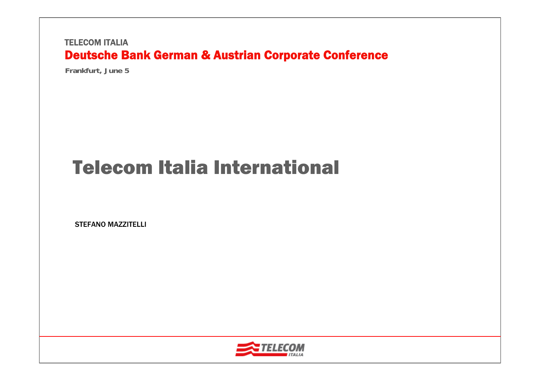**Frankfurt, June 5**

# Telecom Italia International

STEFANO MAZZITELLI

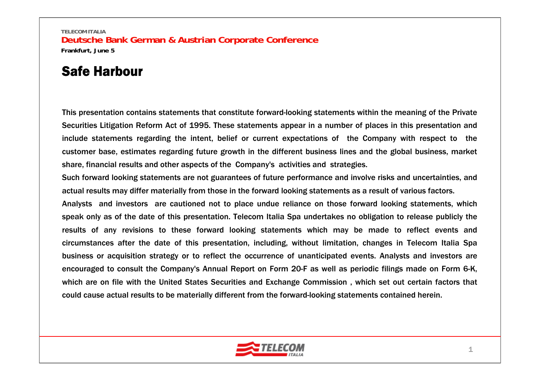# Safe Harbour

This presentation contains statements that constitute forward-looking statements within the meaning of the Private Securities Litigation Reform Act of 1995. These statements appear in a number of places in this presentation and include statements regarding the intent, belief or current expectations of the Company with respect to the customer base, estimates regarding future growth in the different business lines and the global business, market share, financial results and other aspects of the Company's activities and strategies.

Such forward looking statements are not guarantees of future performance and involve risks and uncertainties, and actual results may differ materially from those in the forward looking statements as a result of various factors.

Analysts and investors are cautioned not to place undue reliance on those forward looking statements, which speak only as of the date of this presentation. Telecom Italia Spa undertakes no obligation to release publicly the results of any revisions to these forward looking statements which may be made to reflect events and circumstances after the date of this presentation, including, without limitation, changes in Telecom Italia Spa business or acquisition strategy or to reflect the occurrence of unanticipated events. Analysts and investors are encouraged to consult the Company's Annual Report on Form 20-F as well as periodic filings made on Form 6-K, which are on file with the United States Securities and Exchange Commission , which set out certain factors that could cause actual results to be materially different from the forward-looking statements contained herein.

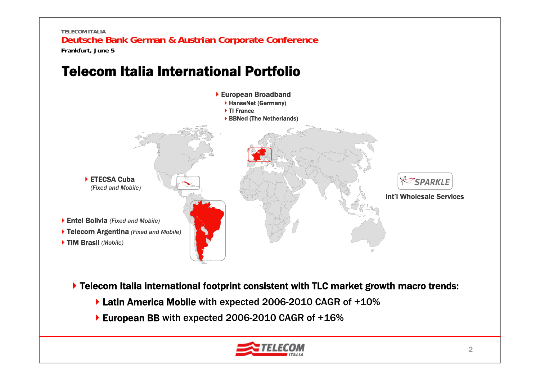# Telecom Italia International Portfolio



▶ Telecom Italia international footprint consistent with TLC market growth macro trends:

- ▶ Latin America Mobile with expected 2006-2010 CAGR of +10%
- ▶ European BB with expected 2006-2010 CAGR of +16%

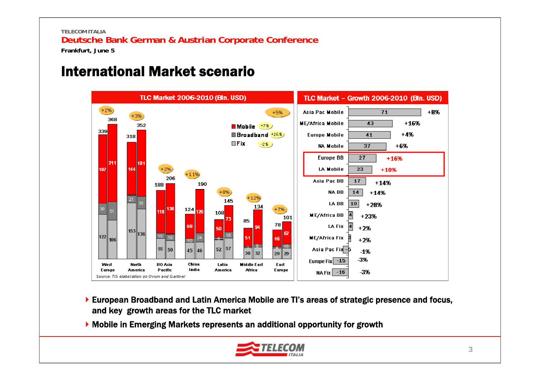**Frankfurt, June 5**

## International Market scenario



- European Broadband and Latin America Mobile are TI's areas of strategic presence and focus, and key growth areas for the TLC market
- Mobile in Emerging Markets represents an additional opportunity for growth

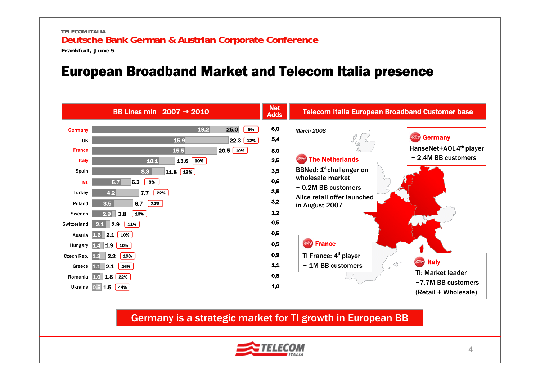## European Broadband Market and Telecom Italia presence



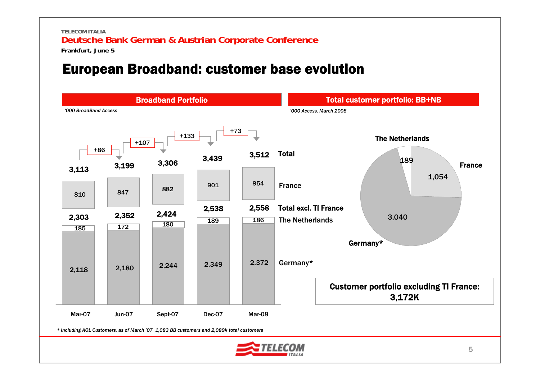**Frankfurt, June 5**

## European Broadband: customer base evolution

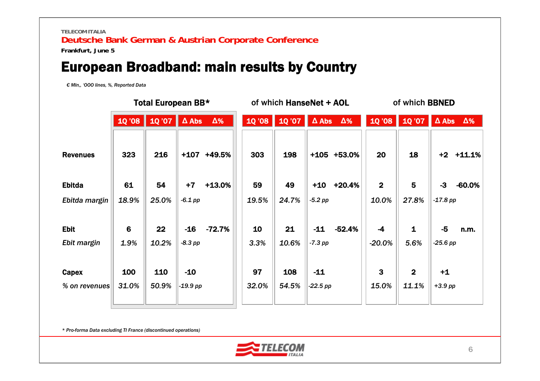**Frankfurt, June 5**

## European Broadband: main results by Country

*€ Mln,, 'OOO lines, %, Reported Data*

|                            | Total European BB* |              |                     | of which HanseNet + AOL |             |                 | of which BBNED      |                  |                       |                         |                    |            |
|----------------------------|--------------------|--------------|---------------------|-------------------------|-------------|-----------------|---------------------|------------------|-----------------------|-------------------------|--------------------|------------|
|                            | 10 '08             | 1Q '07       | $\Delta$ Abs        | $\Delta\%$              |             | $10'08$ $10'07$ | $\Delta$ Abs        | $\Delta\%$       | 10'08                 | 10'07                   | $\Delta$ Abs       | $\Delta\%$ |
| <b>Revenues</b>            | 323                | 216          |                     | $+107$ $+49.5%$         | 303         | 198             |                     | $+105$ $+53.0\%$ | 20                    | 18                      | $+2$ $+11.1%$      |            |
| <b>Ebitda</b>              | 61                 | 54           | $+7$                | $+13.0%$                | 59          | 49              | $+10$               | $+20.4%$         | $\mathbf{2}$          | 5                       | $-3$               | $-60.0%$   |
| Ebitda margin              | 18.9%              | 25.0%        | $-6.1$ pp           |                         | 19.5%       | 24.7%           | $-5.2$ pp           |                  | 10.0%                 | 27.8%                   | $-17.8$ pp         |            |
| <b>Ebit</b><br>Ebit margin | 6<br>1.9%          | 22<br>10.2%  | $-16$<br>$-8.3$ pp  | $-72.7%$                | 10<br>3.3%  | 21<br>10.6%     | $-11$<br>$-7.3$ pp  | $-52.4%$         | $-4$<br>$-20.0%$      | $\mathbf{1}$<br>5.6%    | $-5$<br>$-25.6$ pp | n.m.       |
| Capex<br>% on revenues     | 100<br>31.0%       | 110<br>50.9% | $-10$<br>$-19.9$ pp |                         | 97<br>32.0% | 108<br>54.5%    | $-11$<br>$-22.5$ pp |                  | $\mathbf{3}$<br>15.0% | $\overline{2}$<br>11.1% | $+1$<br>$+3.9$ pp  |            |

*\* Pro-forma Data excluding TI France (discontinued operations)*

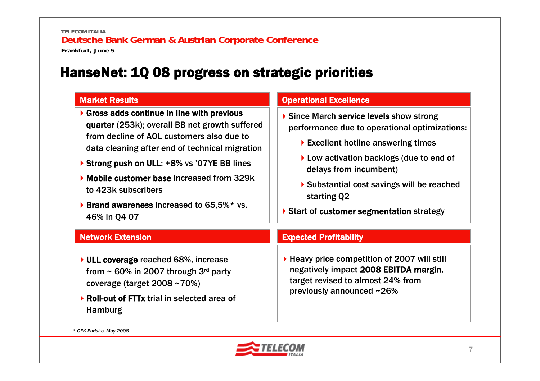## HanseNet: 1Q 08 progress on strategic priorities

## Market Results

- ▶ Gross adds continue in line with previous quarter (253k); overall BB net growth suffered from decline of AOL customers also due to data cleaning after end of technical migration
- ▶ Strong push on ULL: +8% vs '07YE BB lines
- Mobile customer base increased from 329k to 423k subscribers
- **Brand awareness increased to 65,5%\* vs.** 46% in Q4 07

### Operational Excellence

- Since March service levels show strong performance due to operational optimizations:
	- ▶ Excellent hotline answering times
	- ▶ Low activation backlogs (due to end of delays from incumbent)
	- Substantial cost savings will be reached starting Q2
- ▶ Start of customer segmentation strategy

## Network Extension

- ▶ ULL coverage reached 68%, increase from  $\sim$  60% in 2007 through 3<sup>rd</sup> party coverage (target 2008 ~70%)
- ▶ Roll-out of FTTx trial in selected area of Hamburg

## Expected Profitability

▶ Heavy price competition of 2007 will still negatively impact 2008 EBITDA margin, target revised to almost 24% from previously announced ~26%

*\* GFK Eurisko, May 2008*

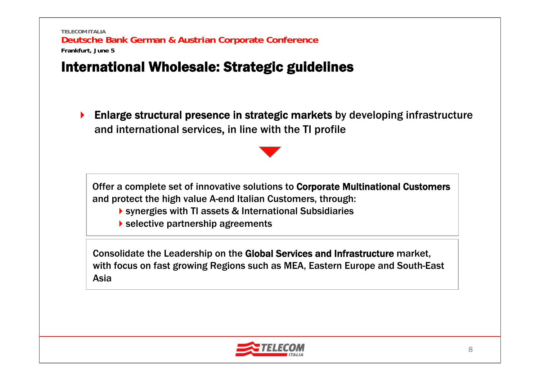# International Wholesale: Strategic guidelines

 $\blacktriangleright$  Enlarge structural presence in strategic markets by developing infrastructure and international services, in line with the TI profile

Offer a complete set of innovative solutions to Corporate Multinational Customers and protect the high value A-end Italian Customers, through:

- synergies with TI assets & International Subsidiaries
- selective partnership agreements

Consolidate the Leadership on the Global Services and Infrastructure market, with focus on fast growing Regions such as MEA, Eastern Europe and South-East Asia

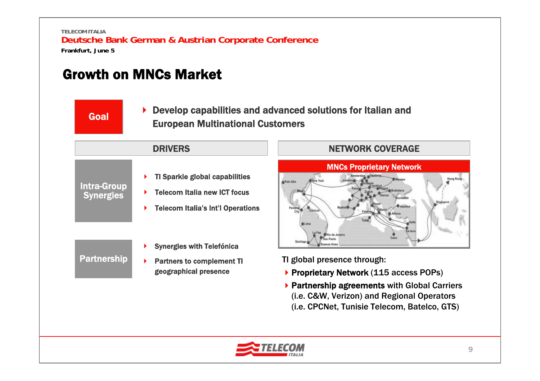# Growth on MNCs Market

Partnership

▶ Develop capabilities and advanced solutions for Italian and European Multinational Customers Goal

### ▶ TI Sparkle global capabilities ▶ Telecom Italia new ICT focus ▶ Telecom Italia's Int'l Operations Intra-Group **Synergies** ▶ Synergies with Telefónica DRIVERS

▶ Partners to complement TI geographical presence



- TI global presence through:
- ▶ Proprietary Network (115 access POPs)
- ▶ Partnership agreements with Global Carriers (i.e. C&W, Verizon) and Regional Operators (i.e. CPCNet, Tunisie Telecom, Batelco, GTS)

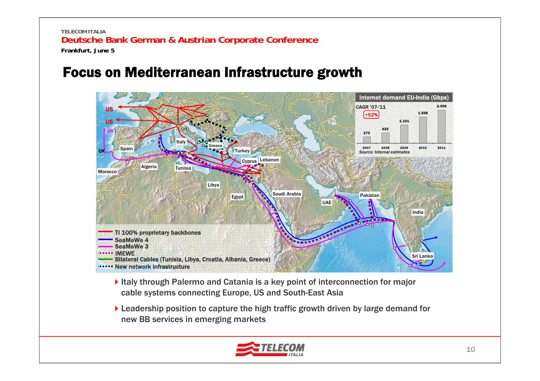# Focus on Mediterranean Infrastructure growth



- Italy through Palermo and Catania is a key point of interconnection for major cable systems connecting Europe, US and South-East Asia
- ▶ Leadership position to capture the high traffic growth driven by large demand for new BB services in emerging markets

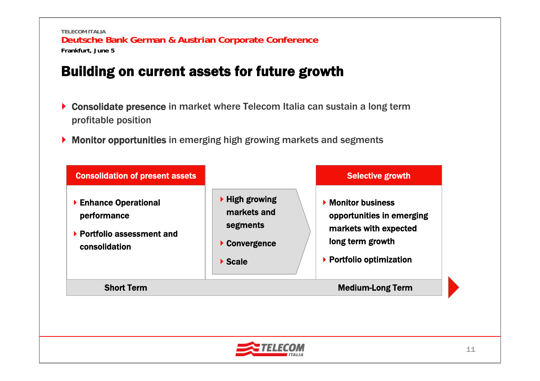# Building on current assets for future growth

- ▶ Consolidate presence in market where Telecom Italia can sustain a long term profitable position
- ▶ Monitor opportunities in emerging high growing markets and segments



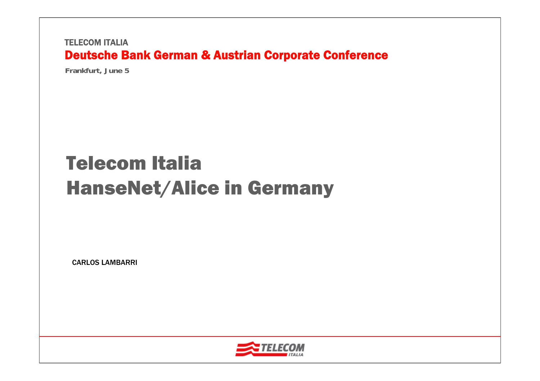**Frankfurt, June 5**

# Telecom ItaliaHanseNet/Alice in Germany

CARLOS LAMBARRI

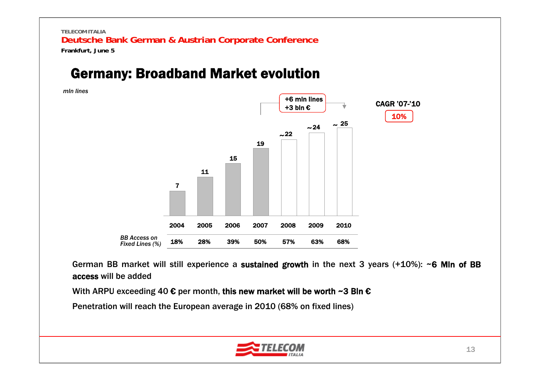## Germany: Broadband Market evolution

*mln lines*



German BB market will still experience a sustained growth in the next 3 years (+10%): ~6 MIn of BB access will be added

With ARPU exceeding 40  $\epsilon$  per month, this new market will be worth ~3 Bln  $\epsilon$ 

Penetration will reach the European average in 2010 (68% on fixed lines)

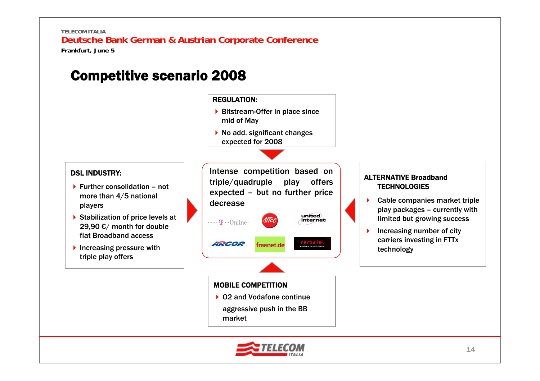## Competitive scenario 2008



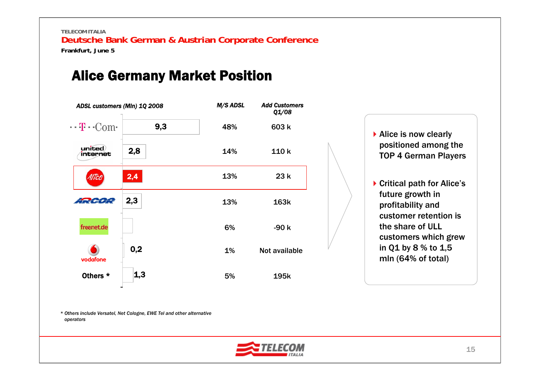## Alice Germany Market Position





▶ Critical path for Alice's future growth in profitability and customer retention is the share of ULL customers which grew in Q1 by 8 % to 1,5 mln (64% of total)

*\* Others include Versatel, Net Cologne, EWE Tel and other alternative operators*

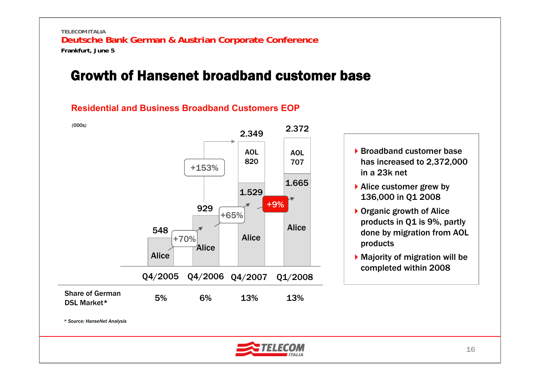## Growth of Hansenet broadband customer base

## **Residential and Business Broadband Customers EOP**

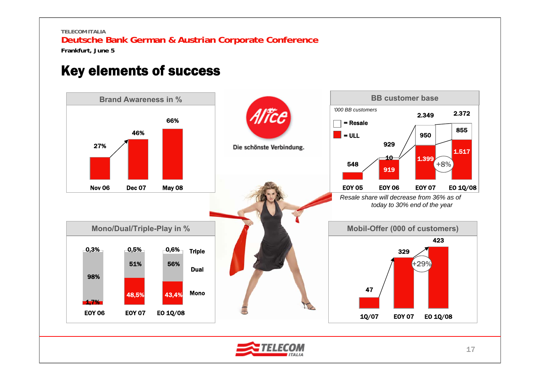**Frankfurt, June 5**

## Key elements of success

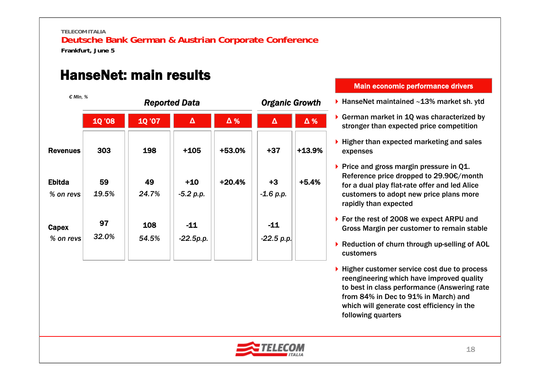**TELECOM ITALIA**

## **Deutsche Bank German & Austrian Corporate Conference**

**Frankfurt, June 5**

# HanseNet: main results

| € MIn. %                   |               |              | <b>Reported Data</b> | <b>Organic Growth</b> |                       |            |
|----------------------------|---------------|--------------|----------------------|-----------------------|-----------------------|------------|
|                            | <b>10 '08</b> | <b>10'07</b> | $\pmb{\Delta}$       | $\Delta \%$           | $\Delta$              | $\Delta$ % |
| <b>Revenues</b>            | 303           | 198          | $+105$               | +53.0%                | $+37$                 | $+13.9%$   |
| <b>Ebitda</b><br>% on revs | 59<br>19.5%   | 49<br>24.7%  | $+10$<br>$-5.2 p.p.$ | $+20.4%$              | $+3$<br>$-1.6 p.p.$   | $+5.4%$    |
| Capex<br>% on revs         | 97<br>32.0%   | 108<br>54.5% | $-11$<br>$-22.5p.p.$ |                       | $-11$<br>$-22.5 p.p.$ |            |

#### Main economic performance drivers

- HanseNet maintained ∼13% market sh. ytd
- ▶ German market in 1Q was characterized by stronger than expected price competition
- $\blacktriangleright$  Higher than expected marketing and sales expenses
- Price and gross margin pressure in Q1. Reference price dropped to 29.90€/month for a dual play flat-rate offer and led Alice customers to adopt new price plans more rapidly than expected
- ▶ For the rest of 2008 we expect ARPU and Gross Margin per customer to remain stable
- ▶ Reduction of churn through up-selling of AOL customers
- ▶ Higher customer service cost due to process reengineering which have improved quality to best in class performance (Answering rate from 84% in Dec to 91% in March) and which will generate cost efficiency in the following quarters

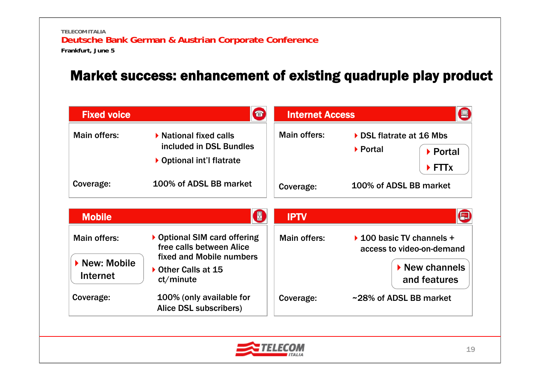# Market success: enhancement of existing quadruple play product

| <b>Fixed voice</b>      | 雷                                                                              | <b>Internet Access</b> |                                                                                |  |
|-------------------------|--------------------------------------------------------------------------------|------------------------|--------------------------------------------------------------------------------|--|
| Main offers:            | ▶ National fixed calls<br>included in DSL Bundles<br>▶ Optional int'l flatrate | Main offers:           | ▶ DSL flatrate at 16 Mbs<br>▶ Portal<br>▶ Portal<br>$\blacktriangleright$ FTTx |  |
| Coverage:               | 100% of ADSL BB market                                                         | Coverage:              | 100% of ADSL BB market                                                         |  |
| <b>Mobile</b>           | ¥                                                                              | <b>IPTV</b>            | E                                                                              |  |
| Main offers:            | ▶ Optional SIM card offering<br>free calls between Alice                       | Main offers:           | $\triangleright$ 100 basic TV channels +<br>access to video-on-demand          |  |
| New: Mobile<br>Internet | fixed and Mobile numbers<br>Other Calls at 15<br>ct/minute                     |                        | $\blacktriangleright$ New channels<br>and features                             |  |
| Coverage:               | 100% (only available for<br>Alice DSL subscribers)                             | Coverage:              | ~28% of ADSL BB market                                                         |  |

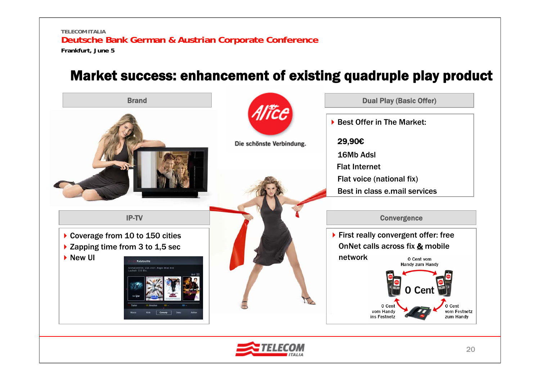## Market success: enhancement of existing quadruple play product

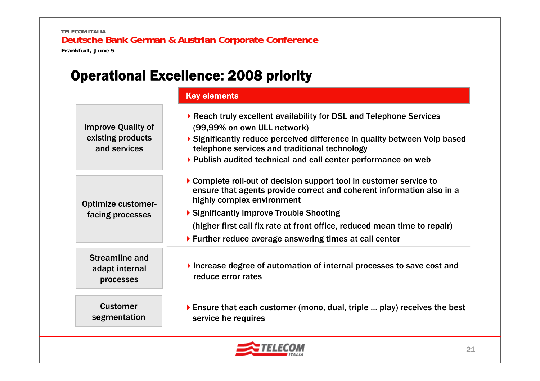# Operational Excellence: 2008 priority

|                                                                | <b>Key elements</b>                                                                                                                                                                                                                                                                                                                                            |
|----------------------------------------------------------------|----------------------------------------------------------------------------------------------------------------------------------------------------------------------------------------------------------------------------------------------------------------------------------------------------------------------------------------------------------------|
| <b>Improve Quality of</b><br>existing products<br>and services | ▶ Reach truly excellent availability for DSL and Telephone Services<br>(99,99% on own ULL network)<br>$\triangleright$ Significantly reduce perceived difference in quality between Voip based<br>telephone services and traditional technology<br>▶ Publish audited technical and call center performance on web                                              |
| <b>Optimize customer-</b><br>facing processes                  | ▶ Complete roll-out of decision support tool in customer service to<br>ensure that agents provide correct and coherent information also in a<br>highly complex environment<br>▶ Significantly improve Trouble Shooting<br>(higher first call fix rate at front office, reduced mean time to repair)<br>▶ Further reduce average answering times at call center |
| <b>Streamline and</b><br>adapt internal<br>processes           | Increase degree of automation of internal processes to save cost and<br>reduce error rates                                                                                                                                                                                                                                                                     |
| <b>Customer</b><br>segmentation                                | Ensure that each customer (mono, dual, triple  play) receives the best<br>service he requires                                                                                                                                                                                                                                                                  |

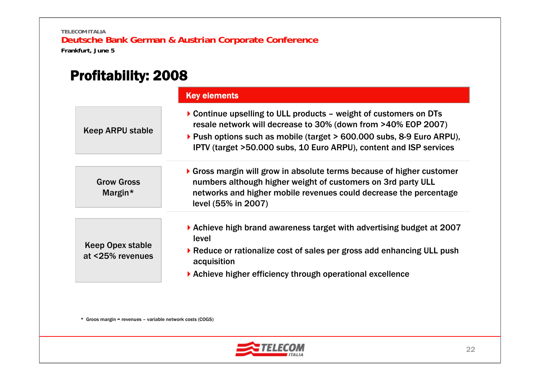# Profitability: 2008

|                                             | <b>Key elements</b>                                                                                                                                                                                                                                                               |
|---------------------------------------------|-----------------------------------------------------------------------------------------------------------------------------------------------------------------------------------------------------------------------------------------------------------------------------------|
| Keep ARPU stable                            | ▶ Continue upselling to ULL products – weight of customers on DTs<br>resale network will decrease to 30% (down from >40% EOP 2007)<br>▶ Push options such as mobile (target > 600.000 subs, 8-9 Euro ARPU),<br>IPTV (target >50.000 subs, 10 Euro ARPU), content and ISP services |
| <b>Grow Gross</b><br>Margin $*$             | $\triangleright$ Gross margin will grow in absolute terms because of higher customer<br>numbers although higher weight of customers on 3rd party ULL<br>networks and higher mobile revenues could decrease the percentage<br>level (55% in 2007)                                  |
| <b>Keep Opex stable</b><br>at <25% revenues | ▶ Achieve high brand awareness target with advertising budget at 2007<br>level<br>▶ Reduce or rationalize cost of sales per gross add enhancing ULL push<br>acquisition<br>Achieve higher efficiency through operational excellence                                               |

\* Groos margin = revenues – variable network costs (COGS)

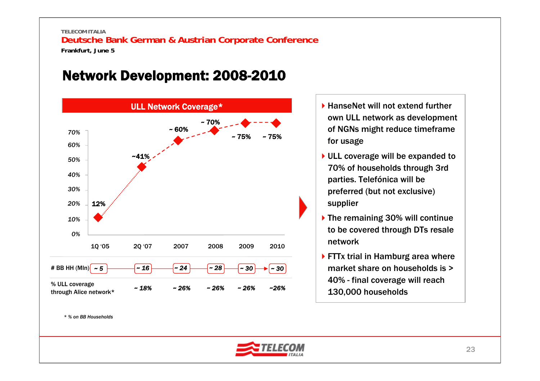# Network Development: 2008-2010



- ▶ HanseNet will not extend further own ULL network as development of NGNs might reduce timeframe for usage
- ▶ ULL coverage will be expanded to 70% of households through 3rd parties. Telefónica will be preferred (but not exclusive) supplier
- ▶ The remaining 30% will continue to be covered through DTs resale network
- ▶ FTTx trial in Hamburg area where market share on households is > 40% - final coverage will reach 130,000 households

23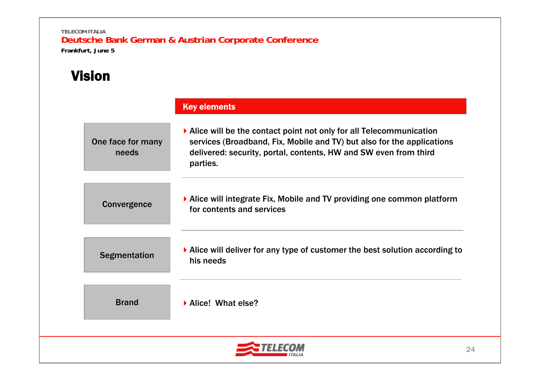# Vision

|                            | <b>Key elements</b>                                                                                                                                                                                                                                |
|----------------------------|----------------------------------------------------------------------------------------------------------------------------------------------------------------------------------------------------------------------------------------------------|
| One face for many<br>needs | $\blacktriangleright$ Alice will be the contact point not only for all Telecommunication<br>services (Broadband, Fix, Mobile and TV) but also for the applications<br>delivered: security, portal, contents, HW and SW even from third<br>parties. |
| Convergence                | ▶ Alice will integrate Fix, Mobile and TV providing one common platform<br>for contents and services                                                                                                                                               |
| <b>Segmentation</b>        | $\blacktriangleright$ Alice will deliver for any type of customer the best solution according to<br>his needs                                                                                                                                      |
| <b>Brand</b>               | Alice! What else?                                                                                                                                                                                                                                  |
|                            |                                                                                                                                                                                                                                                    |